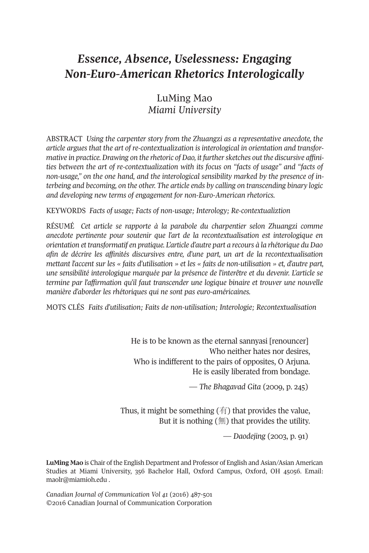# *Essence, Absence, Uselessness: Engaging Non-Euro-American Rhetorics Interologically*

## LuMing Mao *Miami University*

AbstrAct *Using the carpenter story from the Zhuangzi as a representative anecdote, the article argues that the art of re-contextualization is interological in orientation and transformative in practice. Drawing on the rhetoric of Dao, it furthersketches out the discursive affinities between the art of re-contextualization with its focus on "facts of usage" and "facts of non-usage," on the one hand, and the interological sensibility marked by the presence of interbeing and becoming, on the other. The article ends by calling on transcending binary logic and developing new terms of engagement for non-Euro-American rhetorics.*

Keywords *Facts of usage; Facts of non-usage; Interology; Re-contextualiztion*

rÉsUMÉ *Cet article se rapporte à la parabole du charpentier selon Zhuangzi comme anecdote pertinente pour soutenir que l'art de la recontextualisation est interologique en orientation et transformatif en pratique. L'article d'autre part a recours à la rhétorique du Dao afin de décrire les affinités discursives entre, d'une part, un art de la recontextualisation* mettant l'accent sur les « faits d'utilisation » et les « faits de non-utilisation » et, d'autre part, *une sensibilité interologique marquée par la présence de l'interêtre et du devenir. L'article se termine par l'affirmation qu'il faut transcender une logique binaire et trouver une nouvelle manière d'aborder les rhétoriques qui ne sont pas euro-américaines.*

Mots cLÉs *Faits d'utilisation; Faits de non-utilisation; Interologie; Recontextualisation*

He is to be known as the eternal sannyasi [renouncer] who neither hates nor desires, Who is indifferent to the pairs of opposites, O Arjuna. He is easily liberated from bondage.

— *The Bhagavad Gita* (2009, p. 245)

Thus, it might be something  $(\overline{f})$  that provides the value, But it is nothing  $($ <sup> $#$  $)$ </sup> that provides the utility.

— *Daodejing* (2003, p. 91)

LuMing Mao is Chair of the English Department and Professor of English and Asian/Asian American studies at Miami University, 356 bachelor Hall, oxford campus, oxford, oH 45056. email: [maolr@miamioh.edu](mailto:maolr@miamioh.edu) .

*Canadian Journal of [Communication](http://www.cjc-online.ca) Vol 41* (2016) 487-501 ©2016 canadian Journal of communication corporation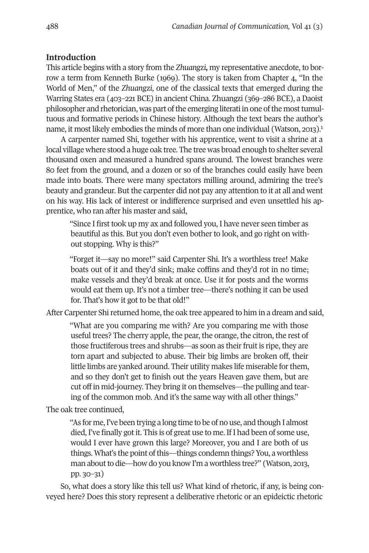### **Introduction**

this article begins with a story from the *Zhuangzi***,** my representative anecdote, to borrow a term from Kenneth Burke (1969). The story is taken from Chapter 4, "In the world of Men," of the *Zhuangzi*, one of the classical texts that emerged during the Warring States era (403–221 BCE) in ancient China. Zhuangzi (369–286 BCE), a Daoist philosopher and rhetorician, was part of the emerging literati in one of the most tumultuous and formative periods in chinese history. Although the text bears the author['s](#page-12-0) name, it most likely embodies the minds of more than one individual (Watson, 2013).<sup>1</sup>

A carpenter named shi, together with his apprentice, went to visit a shrine at a local village where stood a huge oak tree. the tree was broad enough to shelter several thousand oxen and measured a hundred spans around. the lowest branches were 80 feet from the ground, and a dozen or so of the branches could easily have been made into boats. there were many spectators milling around, admiring the tree's beauty and grandeur. but the carpenter did not pay any attention to it at all and went on his way. His lack of interest or indifference surprised and even unsettled his apprentice, who ran after his master and said,

"since I first took up my ax and followed you, I have never seen timber as beautiful as this. but you don't even bother to look, and go right on without stopping. why is this?"

"Forget it—say no more!" said carpenter shi. It's a worthless tree! Make boats out of it and they'd sink; make coffins and they'd rot in no time; make vessels and they'd break at once. Use it for posts and the worms would eat them up. It's not a timber tree—there's nothing it can be used for. That's how it got to be that old!"

After carpenter shireturned home, the oak tree appeared to him in a dream and said,

"what are you comparing me with? Are you comparing me with those useful trees? The cherry apple, the pear, the orange, the citron, the rest of those fructiferous trees and shrubs—as soon as their fruit is ripe, they are torn apart and subjected to abuse. Their big limbs are broken off, their little limbs are yanked around. Their utility makes life miserable for them, and so they don't get to finish out the years Heaven gave them, but are cut off in mid-journey. They bring it on themselves—the pulling and tearing of the common mob. And it's the same way with all other things."

The oak tree continued,

"As for me, I've been trying a long time to be of no use, and though I almost died, I've finally got it. This is of great use to me. If I had been of some use, would I ever have grown this large? Moreover, you and I are both of us things. What's the point of this—things condemn things? You, a worthless man about to die—how do you know I'm a worthless tree?" (Watson, 2013, pp. 30–31)

so, what does a story like this tell us? what kind of rhetoric, if any, is being conveyed here? Does this story represent a deliberative rhetoric or an epideictic rhetoric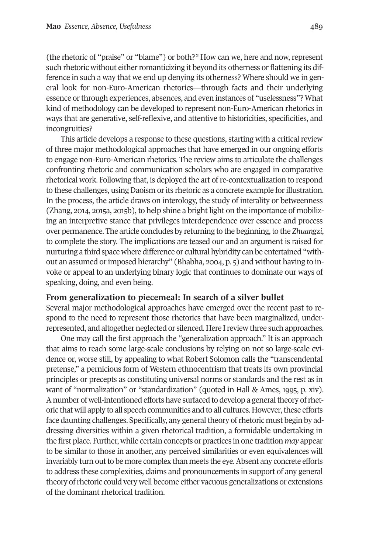(the rhetoric of "praise" or "blame") or both? [2](#page-12-1) How can we, here and now, represent such rhetoric without either romanticizing it beyond its otherness or flattening its difference in such a way that we end up denying its otherness? where should we in general look for non-Euro-American rhetorics—through facts and their underlying essence or through experiences, absences, and even instances of "uselessness"? What kind of methodology can be developed to represent non-Euro-American rhetorics in ways that are generative, self-reflexive, and attentive to historicities, specificities, and incongruities?

this article develops a response to these questions, starting with a critical review of three major methodological approaches that have emerged in our ongoing efforts to engage non-Euro-American rhetorics. The review aims to articulate the challenges confronting rhetoric and communication scholars who are engaged in comparative rhetorical work. Following that, is deployed the art of re-contextualization to respond to these challenges, using Daoism or its rhetoric as a concrete example for illustration. In the process, the article draws on interology, the study of interality or betweenness (Zhang, 2014, 2015a, 2015b), to help shine a bright light on the importance of mobilizing an interpretive stance that privileges interdependence over essence and process over permanence. the article concludes by returning to the beginning,to the *Zhuangzi*, to complete the story. the implications are teased our and an argument is raised for nurturing a third space where difference or cultural hybridity can be entertained "without an assumed or imposed hierarchy" (Bhabha, 2004, p. 5) and without having to invoke or appeal to an underlying binary logic that continues to dominate our ways of speaking, doing, and even being.

#### **From generalization to piecemeal: In search of a silver bullet**

several major methodological approaches have emerged over the recent past to respond to the need to represent those rhetorics that have been marginalized, underrepresented, and altogether neglected or silenced. Here Ireview three such approaches.

one may call the first approach the "generalization approach." It is an approach that aims to reach some large-scale conclusions by relying on not so large-scale evidence or, worse still, by appealing to what Robert Solomon calls the "transcendental" pretense," a pernicious form of western ethnocentrism that treats its own provincial principles or precepts as constituting universal norms or standards and the rest as in want of "normalization" or "standardization" (quoted in Hall & Ames, 1995, p. xiv). A number of well-intentioned efforts have surfaced to develop a general theory of rhetoric that will apply to all speech communities and to all cultures. However,these efforts face daunting challenges. Specifically, any general theory of rhetoric must begin by addressing diversities within a given rhetorical tradition, a formidable undertaking in the first place. Further, while certain concepts or practices in one tradition *may* appear to be similar to those in another, any perceived similarities or even equivalences will invariably turn out to be more complex than meets the eye. Absent any concrete efforts to address these complexities, claims and pronouncements in support of any general theory of rhetoric could very well become either vacuous generalizations or extensions of the dominant rhetorical tradition.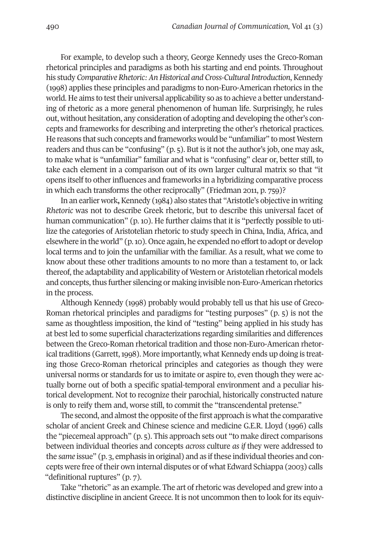For example, to develop such a theory, George Kennedy uses the Greco-Roman rhetorical principles and paradigms as both his starting and end points. throughout his study *Comparative Rhetoric:An Historical and Cross-CulturalIntroduction*,Kennedy (1998) applies these principles and paradigms to non-euro-American rhetorics in the world. He aims to test their universal applicability so as to achieve a better understanding of rhetoric as a more general phenomenon of human life. surprisingly, he rules out, without hesitation, any consideration of adopting and developing the other's concepts and frameworks for describing and interpreting the other's rhetorical practices. He reasons that such concepts and frameworks would be "unfamiliar" to most western readers and thus can be "confusing" (p. 5). but is it not the author's job, one may ask, to make what is "unfamiliar" familiar and what is "confusing" clear or, better still, to take each element in a comparison out of its own larger cultural matrix so that "it opens itself to otherinfluences and frameworks in a hybridizing comparative process in which each transforms the other reciprocally" (Friedman 2011, p. 759)?

In an earlier work**,**Kennedy (1984) also states that "Aristotle's objective in writing *Rhetoric* was not to describe Greek rhetoric, but to describe this universal facet of human communication" (p. 10). He further claims that it is "perfectly possible to utilize the categories of Aristotelian rhetoric to study speech in china, India, Africa, and elsewhere in the world" (p.10). once again, he expended no effortto adopt or develop local terms and to join the unfamiliar with the familiar. As a result, what we come to know about these other traditions amounts to no more than a testament to, or lack thereof, the adaptability and applicability of Western or Aristotelian rhetorical models and concepts, thus further silencing or making invisible non-Euro-American rhetorics in the process.

Although Kennedy (1998) probably would probably tell us that his use of Greco-Roman rhetorical principles and paradigms for "testing purposes"  $(p, 5)$  is not the same as thoughtless imposition, the kind of "testing" being applied in his study has at best led to some superficial characterizations regarding similarities and differences between the Greco-Roman rhetorical tradition and those non-Euro-American rhetorical traditions (Garrett, 1998). More importantly, what Kennedy ends up doing is treating those Greco-Roman rhetorical principles and categories as though they were universal norms or standards for us to imitate or aspire to, even though they were actually borne out of both a specific spatial-temporal environment and a peculiar historical development. Not to recognize their parochial, historically constructed nature is only to reify them and, worse still, to commit the "transcendental pretense."

The second, and almost the opposite of the first approach is what the comparative scholar of ancient Greek and Chinese science and medicine G.E.R. Lloyd (1996) calls the "piecemeal approach" (p. 5). this approach sets out "to make direct comparisons between individual theories and concepts *across* culture *as if* they were addressed to the *same* issue" (p. 3, emphasis in original) and as if these individual theories and concepts were free oftheir own internal disputes or of what edward schiappa (2003) calls "definitional ruptures" (p. 7).

Take "rhetoric" as an example. The art of rhetoric was developed and grew into a distinctive discipline in ancient Greece. It is not uncommon then to look forits equiv-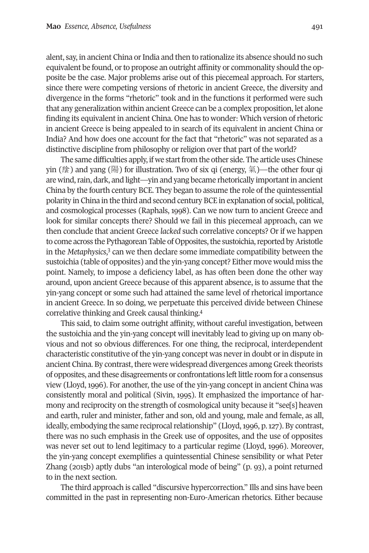alent, say, in ancient China or India and then to rationalize its absence should no such equivalent be found, orto propose an outright affinity or commonality should the opposite be the case. Major problems arise out of this piecemeal approach. For starters, since there were competing versions of rhetoric in ancient Greece, the diversity and divergence in the forms "rhetoric" took and in the functions it performed were such that any generalization within ancient Greece can be a complex proposition, let alone finding its equivalent in ancient China. One has to wonder: Which version of rhetoric in ancient Greece is being appealed to in search of its equivalent in ancient china or India? And how does one account for the fact that "rhetoric" was not separated as a distinctive discipline from philosophy or religion over that part of the world?

The same difficulties apply, if we start from the other side. The article uses Chinese yin (陰) and yang (陽) for illustration. two of six qi (energy, 氣)—the other four qi are wind, rain, dark, and light—yin and yang became rhetorically important in ancient china by the fourth century bce. they began to assume the role of the quintessential polarity in china in the third and second century bce in explanation of social, political, and cosmological processes (Raphals, 1998). Can we now turn to ancient Greece and look for similar concepts there? should we fail in this piecemeal approach, can we then conclude that ancient Greece *lacked* such correlative concepts? or if we happen to come across the [Py](#page-12-3)thagorean Table of Opposites, the sustoichia, reported by Aristotle in the *Metaphysics*, <sup>3</sup> can we then declare some immediate compatibility between the sustoichia (table of opposites) and the yin-yang concept? Either move would miss the point. Namely, to impose a deficiency label, as has often been done the other way around, upon ancient Greece because of this apparent absence, is to assume that the yin-yang concept or some such had attained the same level of rhetorical importance in ancient Greece. In so doing, we perpetuate [th](#page-12-2)is perceived divide between chinese correlative thinking and Greek causal thinking. 4

this said, to claim some outright affinity, without careful investigation, between the sustoichia and the yin-yang concept will inevitably lead to giving up on many obvious and not so obvious differences. For one thing, the reciprocal, interdependent characteristic constitutive of the yin-yang concept was neverin doubt orin dispute in ancient China. By contrast, there were widespread divergences among Greek theorists of opposites, and these disagreements or confrontations leftlittle room for a consensus view (Lloyd, 1996). For another, the use of the yin-yang concept in ancient china was consistently moral and political (sivin, 1995). It emphasized the importance of harmony and reciprocity on the strength of cosmological unity because it "see[s] heaven and earth, ruler and minister, father and son, old and young, male and female, as all, ideally, embodying the same reciprocal relationship" (Lloyd, 1996, p. 127). By contrast, there was no such emphasis in the Greek use of opposites, and the use of opposites was never set out to lend legitimacy to a particular regime (Lloyd, 1996). Moreover, the yin-yang concept exemplifies a quintessential chinese sensibility or what Peter Zhang (2015b) aptly dubs "an interological mode of being" (p. 93), a point returned to in the next section.

the third approach is called "discursive hypercorrection." Ills and sins have been committed in the past in representing non-Euro-American rhetorics. Either because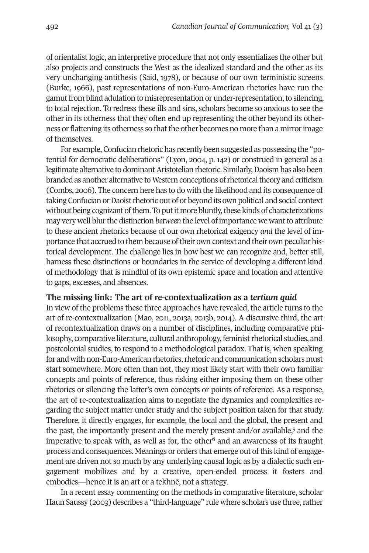of orientalist logic, an interpretive procedure that not only essentializes the other but also projects and constructs the west as the idealized standard and the other as its very unchanging antithesis (said, 1978), or because of our own terministic screens (burke, 1966), past representations of non-euro-American rhetorics have run the gamut from blind adulation to misrepresentation or under-representation, to silencing, to total rejection. to redress these ills and sins, scholars become so anxious to see the other in its otherness that they often end up representing the other beyond its otherness or flattening its otherness so that the other becomes no more than a mirror image of themselves.

For example, Confucian rhetoric has recently been suggested as possessing the "potential for democratic deliberations" (Lyon, 2004, p. 142) or construed in general as a legitimate alternative to dominant Aristotelian rhetoric. Similarly, Daoism has also been branded as another alternative to Western conceptions of rhetorical theory and criticism (combs, 2006). the concern here has to do with the likelihood and its consequence of taking Confucian or Daoist rhetoric out of or beyond its own political and social context without being cognizant of them. To put it more bluntly, these kinds of characterizations may very well blurthe distinction *between* the level of importance we wantto attribute to these ancient rhetorics because of our own rhetorical exigency *and* the level of importance that accrued to them because of their own context and their own peculiar historical development. the challenge lies in how best we can recognize and, better still, harness these distinctions or boundaries in the service of developing a different kind of methodology that is mindful of its own epistemic space and location and attentive to gaps, excesses, and absences.

#### **The missing link: The art of re-contextualization as a** *tertium quid*

In view of the problems these three approaches have revealed, the article turns to the art of re-contextualization (Mao, 2011, 2013a, 2013b, 2014). A discursive third, the art of recontextualization draws on a number of disciplines, including comparative philosophy, comparative literature, cultural anthropology, feminist rhetorical studies, and postcolonial studies, to respond to a methodological paradox. that is, when speaking for and with non-Euro-American rhetorics, rhetoric and communication scholars must start somewhere. More often than not, they most likely start with their own familiar concepts and points of reference, thus risking either imposing them on these other rhetorics or silencing the latter's own concepts or points of reference. As a response, the art of re-contextualization aims to negotiate the dynamics and complexities regarding the subject matter under study and the subject position taken for that study. therefore, it directly engages, for example, the local and the global, the pr[es](#page-12-5)ent and the past, the importantly present and the merely [pr](#page-12-4)esent and/or available, <sup>5</sup> and the imperative to speak with, as well as for, the other<sup>6</sup> and an awareness of its fraught process and consequences. Meanings or orders that emerge out ofthis kind of engagement are driven not so much by any underlying causal logic as by a dialectic such engagement mobilizes and by a creative, open-ended process it fosters and embodies—hence it is an art or a tekhnē, not a strategy.

In a recent essay commenting on the methods in comparative literature, scholar Haun Saussy (2003) describes a "third-language" rule where scholars use three, rather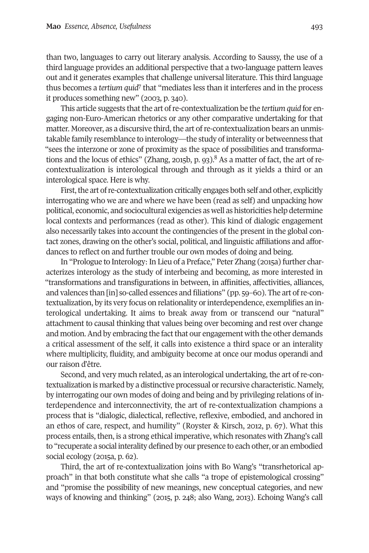than two, languages to carry out literary analysis. According to saussy, the use of a third language provides an additional perspective that a two-language pattern leaves out and it generates examp[les](#page-12-6) that challenge universal literature. this third language thus becomes a *tertium quid*<sup>7</sup> that "mediates less than it interferes and in the process it produces something new" (2003, p. 340).

This article suggests that the art of re-contextualization be the *tertium quid* for engaging non-euro-American rhetorics or any other comparative undertaking for that matter. Moreover, as a discursive third, the art ofre-contextualization bears an unmistakable family resemblance to interology—the study of interality or betweenness that "sees the interzone or zone of proximity as the sp[ace](#page-13-0) of possibilities and transformations and the locus of ethics" (Zhang, 2015b, p. 93). <sup>8</sup> As a matter of fact, the art of recontextualization is interological through and through as it yields a third or an interological space. Here is why.

First, the art of re-contextualization critically engages both self and other, explicitly interrogating who we are and where we have been (read as self) and unpacking how political, economic, and sociocultural exigencies as well as historicities help determine local contexts and performances (read as other). This kind of dialogic engagement also necessarily takes into account the contingencies of the present in the global contact zones, drawing on the other's social, political, and linguistic affiliations and affordances to reflect on and further trouble our own modes of doing and being.

In "Prologue to Interology: In Lieu of a Preface," Peter Zhang (2015a) further characterizes interology as the study of interbeing and becoming, as more interested in "transformations and transfigurations in between, in affinities, affectivities, alliances, and valences than [in] so-called essences and filiations" (pp. 59–60). the art ofre-contextualization, by its very focus on relationality or interdependence, exemplifies an interological undertaking. It aims to break away from or transcend our "natural" attachment to causal thinking that values being over becoming and rest over change and motion. And by embracing the fact that our engagement with the other demands a critical assessment of the self, it calls into existence a third space or an interality where multiplicity, fluidity, and ambiguity become at once our modus operandi and our raison d'être.

second, and very much related, as an interological undertaking, the art ofre-contextualization is marked by a distinctive processual orrecursive characteristic. Namely, by interrogating our own modes of doing and being and by privileging relations of interdependence and interconnectivity, the art of re-contextualization champions a process that is "dialogic, dialectical, reflective, reflexive, embodied, and anchored in an ethos of care, respect, and humility" (Royster & Kirsch, 2012, p.  $67$ ). What this process entails, then, is a strong ethical imperative, which resonates with Zhang's call to "recuperate a social interality defined by our presence to each other, or an embodied social ecology (2015a, p. 62).

third, the art of re-contextualization joins with bo wang's "transrhetorical approach" in that both constitute what she calls "a trope of epistemological crossing" and "promise the possibility of new meanings, new conceptual categories, and new ways of knowing and thinking" (2015, p. 248; also wang, 2013). echoing wang's call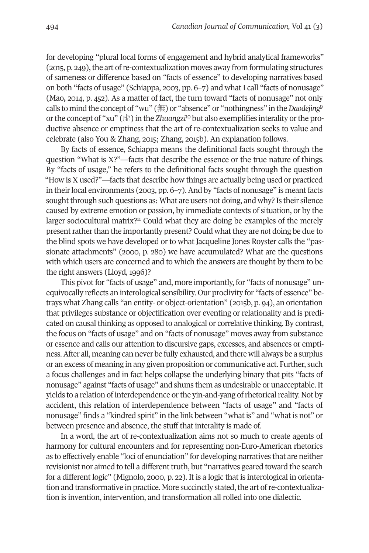for developing "plural local forms of engagement and hybrid analytical frameworks"  $(2015, p. 249)$ , the art of re-contextualization moves away from formulating structures of sameness or difference based on "facts of essence" to developing narratives based on both "facts of usage" (schiappa, 2003, pp. 6–7) and what I call "facts of nonusage" (Mao**,** 2014, p. 452). As a matter of fact, the turn toward "facts of nonusage" not on[ly](#page-13-3) calls to mind the concept of "wu" (無) or "[abs](#page-13-2)ence" or "nothingness" in the*Daodejing*<sup>9</sup> orthe concept of "xu" (虛) in the *Zhuangzi* <sup>10</sup> but also exemplifies interality orthe productive absence or emptiness that the art of re-contextualization seeks to value and celebrate (also you & Zhang, 2015; Zhang, 2015b). An explanation follows.

by facts of essence, schiappa means the definitional facts sought through the question "what is X?"—facts that describe the essence or the true nature of things. by "facts of usage," he refers to the definitional facts sought through the question "How is X used?"—facts that describe how things are actually being used or practiced in their local environments (2003, pp.  $6-7$ ). And by "facts of nonusage" is meant facts sought through such questions as: What are users not doing, and why? Is their silence caused by extreme emotion or passion, by immediate contexts of situation, or by the larger sociocultural matrix?<sup>11</sup> Could what they are doing be examples of the merely presentratherthan the importantly present? could what they are *not* doing be due to the blind spots we have developed or to what Jacqueline Jones Royster calls the "passionate attachments" (2000, p. 280) we have accumulated? what are the questions with which users are concerned and to which the answers are thought by them to be the right answers (Lloyd, 1996)?

This pivot for "facts of usage" and, more importantly, for "facts of nonusage" unequivocally reflects an interological sensibility. our proclivity for "facts of essence" betrays what Zhang calls "an entity- or object-orientation" (2015b, p. 94), an orientation that privileges substance or objectification over eventing or relationality and is predicated on causal thinking as opposed to analogical or correlative thinking. by contrast, the focus on "facts of usage" and on "facts of nonusage" moves away from substance or essence and calls our attention to discursive gaps, excesses, and absences or emptiness.After all, meaning can never be fully exhausted, and there will always be a surplus or an excess of meaning in any given proposition or communicative act. Further, such a focus challenges and in fact helps collapse the underlying binary that pits "facts of nonusage" against "facts of usage" and shuns them as undesirable or unacceptable. It yields to a relation of interdependence or the yin-and-yang of rhetorical reality. Not by accident, this relation of interdependence between "facts of usage" and "facts of nonusage" finds a "kindred spirit" in the link between "what is" and "what is not" or between presence and absence, the stuff that interality is made of.

In a word, the art of re-contextualization aims not so much to create agents of harmony for cultural encounters and for representing non-Euro-American rhetorics as to effectively enable "loci of enunciation" for developing narratives that are neither revisionist nor aimed to tell a different truth, but "narratives geared toward the search for a different logic" (Mignolo, 2000, p. 22). It is a logic that is interological in orientation and transformative in practice. More succinctly stated, the art of re-contextualization is invention, intervention, and transformation all rolled into one dialectic.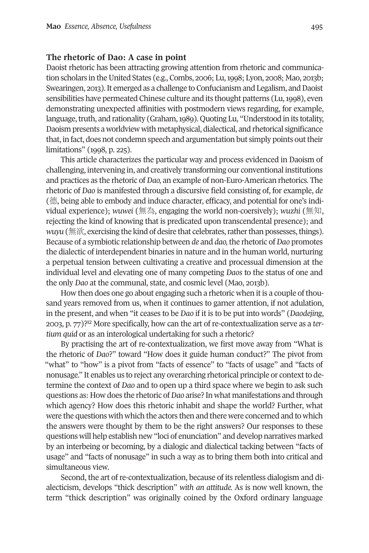#### **The rhetoric of Dao: A case in point**

Daoist rhetoric has been attracting growing attention from rhetoric and communication scholars in the United States (e.g., Combs, 2006; Lu, 1998; Lyon, 2008; Mao, 2013b; Swearingen, 2013). It emerged as a challenge to Confucianism and Legalism, and Daoist sensibilities have permeated chinese culture and its thought patterns (Lu,1998), even demonstrating unexpected affinities with postmodern views regarding, for example, language, truth, and rationality (Graham, 1989). Quoting Lu, "Understood in its totality, Daoism presents a worldview with metaphysical, dialectical, and rhetorical significance that, in fact, does not condemn speech and argumentation but simply points outtheir limitations" (1998, p. 225).

This article characterizes the particular way and process evidenced in Daoism of challenging, intervening in, and creatively transforming our conventional institutions and practices as the rhetoric of *Dao,* an example of non-euro-American rhetorics*.* the rhetoric of *Dao* is manifested through a discursive field consisting of, for example, *de* (德, being able to embody and induce character, efficacy, and potential for one's individual experience); *wuwei* (無為, engaging the world non-coersively); *wuzhi* (無知, rejecting the kind of knowing that is predicated upon transcendental presence); and *wuyu* (無欲, exercising the kind of desire that celebrates, rather than possesses, things). because of a symbiotic relationship between *de* and *dao,*the rhetoric of*Dao* promotes the dialectic of interdependent binaries in nature and in the human world, nurturing a perpetual tension between cultivating a creative and processual dimension at the individual level and elevating one of many competing *Daos* to the status of one and the only *Dao* at the communal, state, and cosmic level (Mao, 2013b).

How then does one go about engaging such a rhetoric when it is a couple of thousand years removed from us, when it continues to garner attention, if not adulation, in the present, and when "it ceases to be *Dao* if it is to be put into words" (*Daodejing*, 2003, p. 77)[?12](#page-13-4) More specifically, how can the art of re-contextualization serve as a *tertium quid* or as an interological undertaking for such a rhetoric?

by practising the art of re-contextualization, we first move away from "what is the rhetoric of *Dao*?" toward "How does it guide human conduct?" the pivot from "what" to "how" is a pivot from "facts of essence" to "facts of usage" and "facts of nonusage." It enables us to reject any overarching rhetorical principle or context to determine the context of *Dao* and to open up a third space where we begin to ask such questions as: How does the rhetoric of*Dao* arise? In what manifestations and through which agency? How does this rhetoric inhabit and shape the world? Further, what were the questions with which the actors then and there were concerned and to which the answers were thought by them to be the right answers? our responses to these questions will help establish new "loci of enunciation" and develop narratives marked by an interbeing or becoming, by a dialogic and dialectical tacking between "facts of usage" and "facts of nonusage" in such a way as to bring them both into critical and simultaneous view.

second, the art of re-contextualization, because of its relentless dialogism and dialecticism, develops "thick description" *with an attitude.* As is now well known, the term "thick description" was originally coined by the oxford ordinary language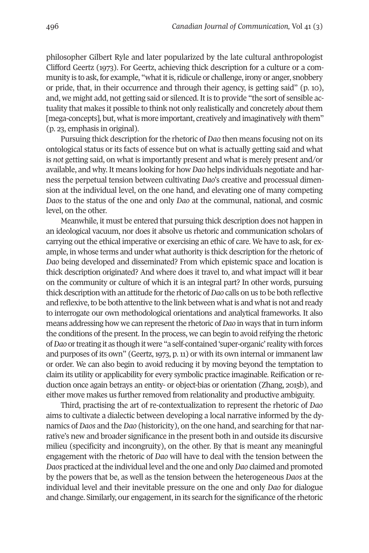philosopher Gilbert ryle and later popularized by the late cultural anthropologist clifford Geertz (1973). For Geertz, achieving thick description for a culture or a community is to ask, for example, "what it is, ridicule or challenge, irony or anger, snobbery or pride, that, in their occurrence and through their agency, is getting said" (p. 10), and, we might add, not getting said or silenced. It is to provide "the sort of sensible actuality that makes it possible to think not only realistically and concretely *about* them [mega-concepts], but, whatis more important, creatively and imaginatively *with* them" (p. 23, emphasis in original).

Pursuing thick description forthe rhetoric of *Dao* then means focusing not on its ontological status or its facts of essence but on what is actually getting said and what is *not* getting said, on what is importantly present and what is merely present and/or available, and why. It means looking for how *Dao* helps individuals negotiate and harness the perpetual tension between cultivating *Dao*'s creative and processual dimension at the individual level, on the one hand, and elevating one of many competing *Daos* to the status of the one and only *Dao* at the communal, national, and cosmic level, on the other.

Meanwhile, it must be entered that pursuing thick description does not happen in an ideological vacuum, nor does it absolve us rhetoric and communication scholars of carrying out the ethical imperative or exercising an ethic of care. we have to ask, for example, in whose terms and under what authority is thick description forthe rhetoric of *Dao* being developed and disseminated? From which epistemic space and location is thick description originated? And where does it travel to, and what impact will it bear on the community or culture of which it is an integral part? In other words, pursuing thick description with an attitude forthe rhetoric of*Dao* calls on us to be both reflective and reflexive, to be both attentive to the link between what is and what is not and ready to interrogate our own methodological orientations and analytical frameworks. It also means addressing how we can representthe rhetoric of*Dao* in ways thatin turn inform the conditions of the present. In the process, we can begin to avoid reifying the rhetoric of *Dao* or treating it as though it were "a self-contained 'super-organic' reality with forces and purposes of its own" (Geertz, 1973, p. 11) or with its own internal or immanent law or order. we can also begin to avoid reducing it by moving beyond the temptation to claim its utility or applicability for every symbolic practice imaginable. Reification or reduction once again betrays an entity- or object-bias or orientation (Zhang, 2015b), and either move makes us further removed from relationality and productive ambiguity.

third, practising the art of re-contextualization to represent the rhetoric of *Dao* aims to cultivate a dialectic between developing a local narrative informed by the dynamics of *Daos* and the *Dao* (historicity), on the one hand, and searching forthat narrative's new and broader significance in the present both in and outside its discursive milieu (specificity and incongruity), on the other. by that is meant any meaningful engagement with the rhetoric of *Dao* will have to deal with the tension between the *Daos* practiced atthe individual level and the one and only*Dao* claimed and promoted by the powers that be, as well as the tension between the heterogeneous *Daos* at the individual level and their inevitable pressure on the one and only *Dao* for dialogue and change. similarly, our engagement, in its search forthe significance ofthe rhetoric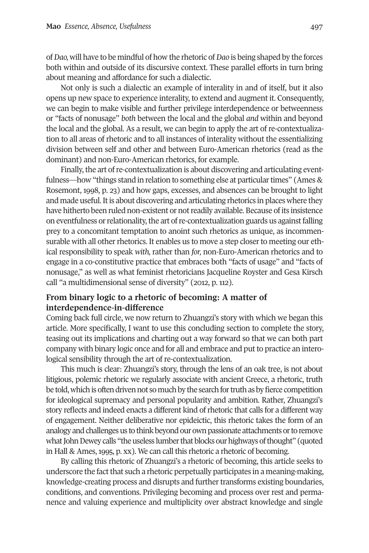of*Dao,* will have to be mindful of how the rhetoric of*Dao* is being shaped by the forces both within and outside of its discursive context*.* these parallel efforts in turn bring about meaning and affordance for such a dialectic.

Not only is such a dialectic an example of interality in and of itself, but it also opens up new space to experience interality, to extend and augment it. consequently, we can begin to make visible and further privilege interdependence or betweenness or "facts of nonusage" *both* between the local and the global *and* within and beyond the local and the global. As a result, we can begin to apply the art of re-contextualization to all areas of rhetoric and to all instances of interality without the essentializing division between self and other and between euro-American rhetorics (read as the dominant) and non-Euro-American rhetorics, for example.

Finally, the art of re-contextualization is about discovering and articulating eventfulness—how "things stand in relation to something else at particular times" (Ames  $\&$ Rosemont, 1998, p. 23) and how gaps, excesses, and absences can be brought to light and made useful. It is about discovering and articulating rhetorics in places where they have hitherto been ruled non-existent or not readily available. Because of its insistence on eventfulness or relationality, the art of re-contextualization guards us against falling prey to a concomitant temptation to anoint such rhetorics as unique, as incommensurable with all other rhetorics. It enables us to move a step closer to meeting our ethical responsibility to speak *with,* rather than *for,* non-euro-American rhetorics and to engage in a co-constitutive practice that embraces both "facts of usage" and "facts of nonusage," as well as what feminist rhetoricians Jacqueline Royster and Gesa Kirsch call "a multidimensional sense of diversity" (2012, p. 112).

### **From binary logic to a rhetoric of becoming: A matter of interdependence-in-difference**

coming back full circle, we now return to Zhuangzi's story with which we began this article. More specifically, I want to use this concluding section to complete the story, teasing out its implications and charting out a way forward so that we can both part company with binary logic once and for all and embrace and putto practice an interological sensibility through the art of re-contextualization.

this much is clear: Zhuangzi's story, through the lens of an oak tree, is not about litigious, polemic rhetoric we regularly associate with ancient Greece, a rhetoric, truth be told, which is often driven not so much by the search for truth as by fierce competition for ideological supremacy and personal popularity and ambition. Rather, Zhuangzi's story reflects and indeed enacts a different kind of rhetoric that calls for a different way of engagement. Neither deliberative nor epideictic, this rhetoric takes the form of an analogy and challenges us to think beyond our own passionate attachments or to remove what John Dewey calls "the useless lumber that blocks our highways of thought" (quoted in Hall & Ames,1995, p. xx). we can call this rhetoric a rhetoric of becoming.

by calling this rhetoric of Zhuangzi's a rhetoric of becoming, this article seeks to underscore the fact that such a rhetoric perpetually participates in a meaning-making, knowledge-creating process and disrupts and further transforms existing boundaries, conditions, and conventions. Privileging becoming and process over rest and permanence and valuing experience and multiplicity over abstract knowledge and single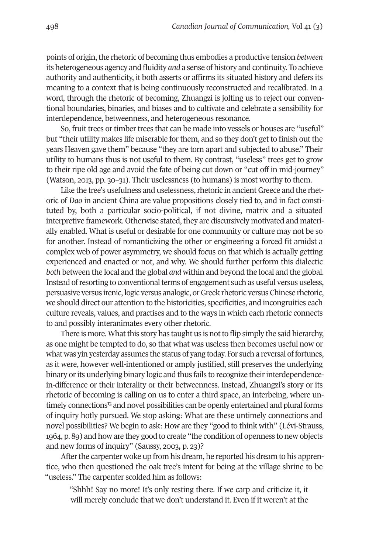points of origin, the rhetoric of becoming thus embodies a productive tension *between* its heterogeneous agency and fluidity *and* a sense of history and continuity. to achieve authority and authenticity, it both asserts or affirms its situated history and defers its meaning to a context that is being continuously reconstructed and recalibrated. In a word, through the rhetoric of becoming, Zhuangzi is jolting us to reject our conventional boundaries, binaries, and biases and to cultivate and celebrate a sensibility for interdependence, betweenness, and heterogeneous resonance.

So, fruit trees or timber trees that can be made into vessels or houses are "useful" but "their utility makes life miserable forthem, and so they don't get to finish out the years Heaven gave them" because "they are torn apart and subjected to abuse." Their utility to humans thus is not useful to them. by contrast, "useless" trees get to grow to their ripe old age and avoid the fate of being cut down or "cut off in mid-journey" (Watson, 2013, pp. 30–31). Their uselessness (to humans) is most worthy to them.

Like the tree's usefulness and uselessness, rhetoric in ancient Greece and the rhetoric of *Dao* in ancient china are value propositions closely tied to, and in fact constituted by, both a particular socio-political, if not divine, matrix and a situated interpretive framework. Otherwise stated, they are discursively motivated and materially enabled. what is useful or desirable for one community or culture may not be so for another. Instead of romanticizing the other or engineering a forced fit amidst a complex web of power asymmetry, we should focus on that which is actually getting experienced and enacted or not, and why. we should further perform this dialectic *both* between the local and the global *and* within and beyond the local and the global. Instead of resorting to conventional terms of engagement such as useful versus useless, persuasive versus irenic, logic versus analogic, or Greek rhetoric versus Chinese rhetoric, we should direct our attention to the historicities, specificities, and incongruities each culture reveals, values, and practises and to the ways in which each rhetoric connects to and possibly interanimates every other rhetoric.

There is more. What this story has taught us is not to flip simply the said hierarchy, as one might be tempted to do, so that what was useless then becomes useful now or what was yin yesterday assumes the status of yang today. For such a reversal of fortunes, as it were, however well-intentioned or amply justified, still preserves the underlying binary or its underlying binary logic and thus fails to recognize their interdependencein-difference or their interality or their betweenness. Instead, Zhuangzi's story or its rhetoric of becom[ing](#page-13-5) is calling on us to enter a third space, an interbeing, where untimely connections<sup>13</sup> and novel possibilities can be openly entertained and plural forms of inquiry hotly pursued. we stop asking: what are these untimely connections and novel possibilities? we begin to ask: How are they "good to think with" (Lévi-strauss, 1964, p. 89) and how are they good to create "the condition of openness to new objects and new forms of inquiry" (saussy, 2003**,** p. 23)?

After the carpenter woke up from his dream, he reported his dream to his apprentice, who then questioned the oak tree's intent for being at the village shrine to be "useless." The carpenter scolded him as follows:

"shhh! say no more! It's only resting there. If we carp and criticize it, it will merely conclude that we don't understand it. Even if it weren't at the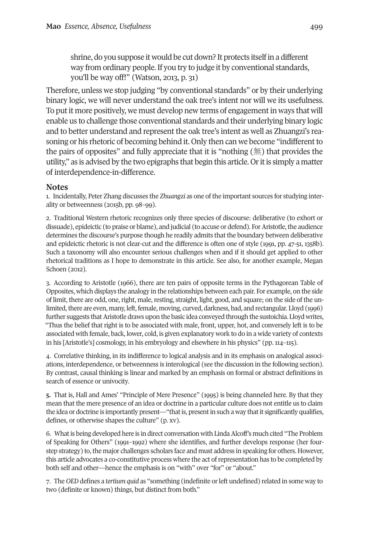<span id="page-12-1"></span><span id="page-12-0"></span>shrine, do you suppose it would be cut down? It protects itself in a different way from ordinary people.If you try to judge it by conventional standards, you'll be way off!" (watson, 2013, p. 31)

therefore, unless we stop judging "by conventional standards" or by their underlying binary logic, we will never understand the oak tree's intent nor will we its usefulness. To put it more positively, we must develop new terms of engagement in ways that will enable us to challenge those conventional standards and their underlying binary logic and to better understand and represent the oak tree's intent as well as Zhuangzi's reasoning or his rhetoric of becoming behind it. Only then can we become "indifferent to the pairs of opposites" and fully appreciate that it is "nothing (無) that provides the utility," as is advised by the two epigraphs that begin this article. oritis simply a matter of interdependence-in-difference.

#### **Notes**

1. Incidentally, Peter Zhang discusses the *Zhuangzi* as one of the important sources for studying interality or betweenness (2015b, pp. 98–99).

2. traditional western rhetoric recognizes only three species of discourse: deliberative (to exhort or dissuade), epideictic (to praise or blame), and judicial (to accuse or defend). For Aristotle, the audience determines the discourse's purpose though he readily admits that the boundary between deliberative and epideictic rhetoric is not clear-cut and the difference is often one of style (1991, pp. 47-51, 1358b). such a taxonomy will also encounter serious challenges when and if it should get applied to other rhetorical traditions as I hope to demonstrate in this article. see also, for another example, Megan schoen (2012).

<span id="page-12-3"></span>3. According to Aristotle (1966), there are ten pairs of opposite terms in the Pythagorean table of opposites, which displays the analogy in the relationships between each pair. For example, on the side of limit, there are odd, one,right, male,resting, straight, light, good, and square; on the side of the unlimited, there are even, many, left, female, moving, curved, darkness, bad, and rectangular. Lloyd (1996) further suggests thatAristotle draws upon the basic idea conveyed through the sustoichia*.* Lloyd writes, "thus the belief that right is to be associated with male, front, upper, hot, and conversely left is to be associated with female, back, lower, cold, is given explanatory work to do in a wide variety of contexts in his [Aristotle's] cosmology, in his embryology and elsewhere in his physics" (pp. 114–115).

<span id="page-12-2"></span>4. correlative thinking, in its indifference to logical analysis and in its emphasis on analogical associations, interdependence, or betweenness is interological (see the discussion in the following section). by contrast, causal thinking is linear and marked by an emphasis on formal or abstract definitions in search of essence or univocity.

<span id="page-12-5"></span>**5.** that is, Hall and Ames' "Principle of Mere Presence" (1995) is being channeled here. by that they mean that the mere presence of an idea or doctrine in a particular culture does not entitle us to claim the idea or doctrine is importantly present—"that is, present in such a way that it significantly qualifies, defines, or otherwise shapes the culture" (p. xv).

<span id="page-12-4"></span>6. What is being developed here is in direct conversation with Linda Alcoff's much cited "The Problem" of speaking for others" (1991–1992) where she identifies, and further develops response (her fourstep strategy) to,the major challenges scholars face and must address in speaking for others. However, this article advocates a co-constitutive process where the act ofrepresentation has to be completed by both self and other—hence the emphasis is on "with" over "for" or "about."

<span id="page-12-6"></span>7. the *OED*defines a *tertium quid* as "something (indefinite orleft undefined) related in some way to two (definite or known) things, but distinct from both."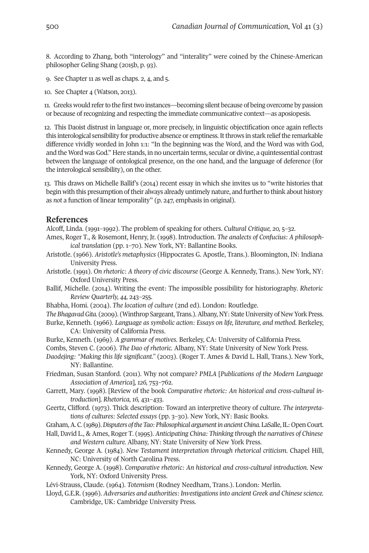<span id="page-13-0"></span>8. According to Zhang, both "interology" and "interality" were coined by the chinese-American philosopher Geling shang (2015b, p. 93).

- <span id="page-13-3"></span><span id="page-13-2"></span><span id="page-13-1"></span>9. see chapter 11 as well as chaps. 2, 4, and 5.
- 10. see chapter 4 (watson, 2013).

11. Greeks would referto the firsttwo instances—becoming silent because of being overcome by passion or because of recognizing and respecting the immediate communicative context—as aposiopesis.

<span id="page-13-4"></span>12. this daoist distrust in language or, more precisely, in linguistic objectification once again reflects this interological sensibility for productive absence or emptiness.Itthrows in stark reliefthe remarkable difference vividly worded in John 1:1: "In the beginning was the word, and the word was with God, and the word wasGod." Here stands, in no uncertain terms, secular or divine, a quintessential contrast between the language of ontological presence, on the one hand, and the language of deference (for the interological sensibility), on the other.

<span id="page-13-5"></span>13. this draws on Michelle ballif's (2014) recent essay in which she invites us to "write histories that begin with this presumption of their always already untimely nature, and further to think about history as *not* a function of linear temporality" (p. 247, emphasis in original).

#### **References**

Alcoff, Linda. (1991–1992). the problem of speaking for others. *Cultural Critique, 20,* 5–32.

- Ames, Roger T., & Rosemont, Henry, Jr. (1998). Introduction. *The analects of Confucius: A philosophical translation* (pp. 1–70). New York, NY: Ballantine Books.
- Aristotle. (1966). *Aristotle's metaphysics* (Hippocrates G. Apostle, trans.). bloomington, IN: Indiana University Press.
- Aristotle. (1991). *On rhetoric: A theory of civic discourse* (George A. Kennedy, trans.). New york, Ny: oxford University Press.
- ballif, Michelle. (2014). writing the event: the impossible possibility for historiography. *Rhetoric Review Quarterly, 44,* 243–255.
- Bhabha, Homi. (2004). *The location of culture* (2nd ed). London: Routledge.
- The Bhagavad Gita. (2009). (Winthrop Sargeant, Trans.). Albany, NY: State University of New York Press.
- burke, Kenneth. (1966). *Language as symbolic action: Essays on life, literature, and method.* berkeley, cA: University of california Press.
- burke, Kenneth. (1969). *A grammar of motives*. berkeley, cA: University of california Press.
- combs, steven c. (2006). *The Dao of rhetoric.* Albany, Ny: state University of New york Press.
- *Daodejing: "Making this life significant." (2003). (Roger T. Ames & David L. Hall, Trans.). New York,* Ny: ballantine.
- Friedman, susan stanford. (2011). why not compare? *PMLA* [*Publications of the Modern Language Association of America*]*, 126,* 753–762.
- Garrett, Mary. (1998). [review of the book *Comparative rhetoric: An historical and cross-cultural introduction*]. *Rhetorica, 16,* 431–433.
- Geertz, clifford. (1973). thick description: toward an interpretive theory of culture. *The interpretations of cultures: Selected essays* (pp. 3–30)*.* New york, Ny: basic books.
- Graham,A.c. (1989).*Disputers oftheTao:Philosophical argumentinancientChina*.Lasalle,IL:opencourt.
- Hall, david L., & Ames, roger t. (1995). *Anticipating China: Thinking through the narratives of Chinese and Western culture.* Albany, Ny: state University of New york Press.
- Kennedy, George A. (1984). *New Testament interpretation through rhetorical criticism*. chapel Hill, Nc: University of North carolina Press.
- Kennedy, George A. (1998). *Comparative rhetoric: An historical and cross-cultural introduction*. New York, NY: Oxford University Press.
- Lévi-Strauss, Claude. (1964). *Totemism* (Rodney Needham, Trans.). London: Merlin.
- Lloyd, G.e.r. (1996). *Adversaries and authorities: Investigationsinto ancient Greek and Chinese science.* cambridge, UK: cambridge University Press.